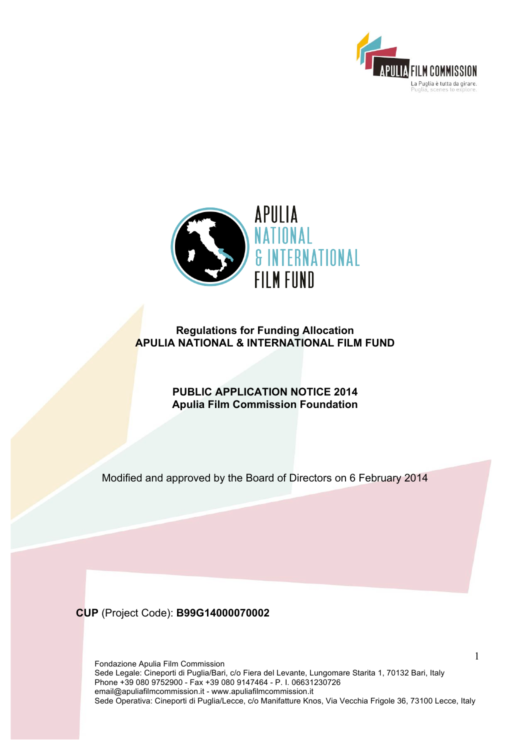



# **Regulations for Funding Allocation APULIA NATIONAL & INTERNATIONAL FILM FUND**

**PUBLIC APPLICATION NOTICE 2014 Apulia Film Commission Foundation**

Modified and approved by the Board of Directors on 6 February 2014

**CUP** (Project Code): **B99G14000070002**

Fondazione Apulia Film Commission Sede Legale: Cineporti di Puglia/Bari, c/o Fiera del Levante, Lungomare Starita 1, 70132 Bari, Italy Phone +39 080 9752900 - Fax +39 080 9147464 - P. I. 06631230726 email@apuliafilmcommission.it - www.apuliafilmcommission.it Sede Operativa: Cineporti di Puglia/Lecce, c/o Manifatture Knos, Via Vecchia Frigole 36, 73100 Lecce, Italy

1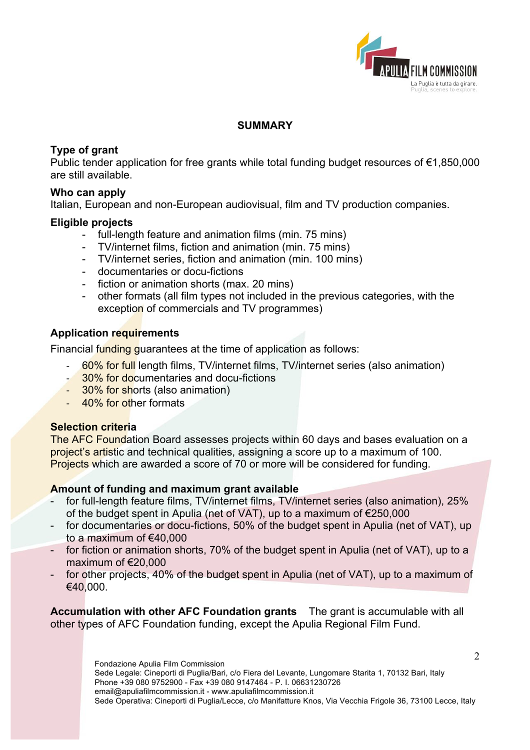

### **SUMMARY**

# **Type of grant**

Public tender application for free grants while total funding budget resources of €1,850,000 are still available.

### **Who can apply**

Italian, European and non-European audiovisual, film and TV production companies.

### **Eligible projects**

- full-length feature and animation films (min. 75 mins)
- TV/internet films, fiction and animation (min. 75 mins)
- TV/internet series, fiction and animation (min. 100 mins)
- documentaries or docu-fictions
- fiction or animation shorts (max. 20 mins)
- other formats (all film types not included in the previous categories, with the exception of commercials and TV programmes)

# **Application requirements**

Financial funding guarantees at the time of application as follows:

- 60% for full length films, TV/internet films, TV/internet series (also animation)
- 30% for documentaries and docu-fictions
- 30% for shorts (also animation)
- 40% for other formats

### **Selection criteria**

The AFC Foundation Board assesses projects within 60 days and bases evaluation on a project's artistic and technical qualities, assigning a score up to a maximum of 100. Projects which are awarded a score of 70 or more will be considered for funding.

### **Amount of funding and maximum grant available**

- for full-length feature films, TV/internet films, TV/internet series (also animation), 25% of the budget spent in Apulia (net of VAT), up to a maximum of €250,000
- for documentaries or docu-fictions, 50% of the budget spent in Apulia (net of VAT), up to a maximum of €40,000
- for fiction or animation shorts, 70% of the budget spent in Apulia (net of VAT), up to a maximum of €20,000
- for other projects, 40% of the budget spent in Apulia (net of VAT), up to a maximum of €40,000.

**Accumulation with other AFC Foundation grants** The grant is accumulable with all other types of AFC Foundation funding, except the Apulia Regional Film Fund.

> Fondazione Apulia Film Commission Sede Legale: Cineporti di Puglia/Bari, c/o Fiera del Levante, Lungomare Starita 1, 70132 Bari, Italy Phone +39 080 9752900 - Fax +39 080 9147464 - P. I. 06631230726 email@apuliafilmcommission.it - www.apuliafilmcommission.it Sede Operativa: Cineporti di Puglia/Lecce, c/o Manifatture Knos, Via Vecchia Frigole 36, 73100 Lecce, Italy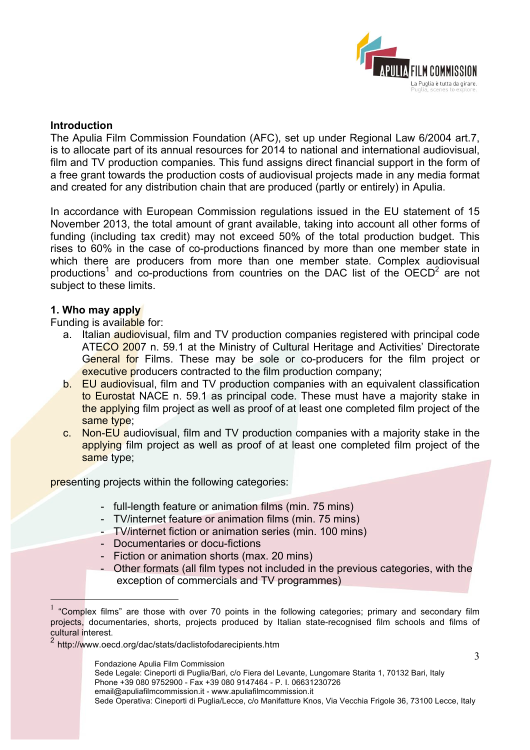

### **Introduction**

The Apulia Film Commission Foundation (AFC), set up under Regional Law 6/2004 art.7, is to allocate part of its annual resources for 2014 to national and international audiovisual, film and TV production companies*.* This fund assigns direct financial support in the form of a free grant towards the production costs of audiovisual projects made in any media format and created for any distribution chain that are produced (partly or entirely) in Apulia.

In accordance with European Commission regulations issued in the EU statement of 15 November 2013, the total amount of grant available, taking into account all other forms of funding (including tax credit) may not exceed 50% of the total production budget. This rises to 60% in the case of co-productions financed by more than one member state in which there are producers from more than one member state. Complex audiovisual productions<sup>1</sup> and co-productions from countries on the DAC list of the  $OECD<sup>2</sup>$  are not subject to these limits.

#### **1. Who may apply**

Funding is available for:

- a. Italian audiovisual, film and TV production companies registered with principal code ATECO 2007 n. 59.1 at the Ministry of Cultural Heritage and Activities' Directorate General for Films. These may be sole or co-producers for the film project or executive producers contracted to the film production company;
- b. EU audiovisual, film and TV production companies with an equivalent classification to Eurostat NACE n. 59.1 as principal code. These must have a majority stake in the applying film project as well as proof of at least one completed film project of the same type;
- c. Non-EU audiovisual, film and TV production companies with a majority stake in the applying film project as well as proof of at least one completed film project of the same type;

presenting projects within the following categories:

- full-length feature or animation films (min. 75 mins)
- TV/internet feature or animation films (min. 75 mins)
- TV/internet fiction or animation series (min. 100 mins)
- Documentaries or docu-fictions
- Fiction or animation shorts (max. 20 mins)
- Other formats (all film types not included in the previous categories, with the exception of commercials and TV programmes)

 <sup>1</sup> "Complex films" are those with over 70 points in the following categories; primary and secondary film projects, documentaries, shorts, projects produced by Italian state-recognised film schools and films of cultural interest.<br><sup>2</sup> http://www.oecd.org/dac/stats/daclistofodarecipients.htm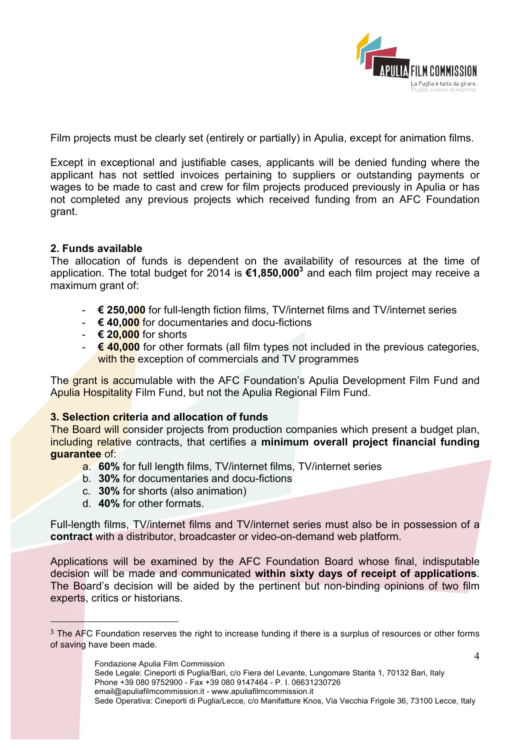

Film projects must be clearly set (entirely or partially) in Apulia, except for animation films.

Except in exceptional and justifiable cases, applicants will be denied funding where the applicant has not settled invoices pertaining to suppliers or outstanding payments or wages to be made to cast and crew for film projects produced previously in Apulia or has not completed any previous projects which received funding from an AFC Foundation grant.

### **2. Funds available**

The allocation of funds is dependent on the availability of resources at the time of application. The total budget for 2014 is **€1,850,0003** and each film project may receive a maximum grant of:

- **€ 250,000** for full-length fiction films, TV/internet films and TV/internet series
- **€ 40,000** for documentaries and docu-fictions
- **€ 20,000** for shorts
- **€ 40,000** for other formats (all film types not included in the previous categories, with the exception of commercials and TV programmes

The grant is accumulable with the AFC Foundation's Apulia Development Film Fund and Apulia Hospitality Film Fund, but not the Apulia Regional Film Fund.

### **3. Selection criteria and allocation of funds**

The Board will consider projects from production companies which present a budget plan, including relative contracts, that certifies a **minimum overall project financial funding guarantee** of:

- a. **60%** for full length films, TV/internet films, TV/internet series
- b. **30%** for documentaries and docu-fictions
- c. **30%** for shorts (also animation)
- d. **40%** for other formats.

 $\overline{a}$ 

Full-length films, TV/internet films and TV/internet series must also be in possession of a **contract** with a distributor, broadcaster or video-on-demand web platform.

Applications will be examined by the AFC Foundation Board whose final, indisputable decision will be made and communicated **within sixty days of receipt of applications**. The Board's decision will be aided by the pertinent but non-binding opinions of two film experts, critics or historians.

<sup>&</sup>lt;sup>3</sup> The AFC Foundation reserves the right to increase funding if there is a surplus of resources or other forms of saving have been made.

Fondazione Apulia Film Commission Sede Legale: Cineporti di Puglia/Bari, c/o Fiera del Levante, Lungomare Starita 1, 70132 Bari, Italy Phone +39 080 9752900 - Fax +39 080 9147464 - P. I. 06631230726 email@apuliafilmcommission.it - www.apuliafilmcommission.it Sede Operativa: Cineporti di Puglia/Lecce, c/o Manifatture Knos, Via Vecchia Frigole 36, 73100 Lecce, Italy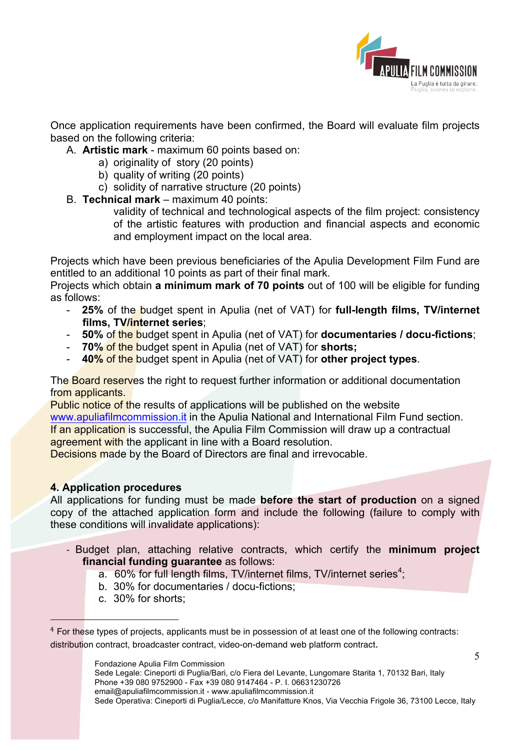

5

Once application requirements have been confirmed, the Board will evaluate film projects based on the following criteria:

- A. **Artistic mark**  maximum 60 points based on:
	- a) originality of story (20 points)
	- b) quality of writing (20 points)
	- c) solidity of narrative structure (20 points)
- B. **Technical mark**  maximum 40 points:

validity of technical and technological aspects of the film project: consistency of the artistic features with production and financial aspects and economic and employment impact on the local area.

Projects which have been previous beneficiaries of the Apulia Development Film Fund are entitled to an additional 10 points as part of their final mark.

Projects which obtain **a minimum mark of 70 points** out of 100 will be eligible for funding as follows:

- **25%** of the budget spent in Apulia (net of VAT) for **full-length films, TV/internet films, TV/internet series**;
- **50%** of the budget spent in Apulia (net of VAT) for **documentaries / docu-fictions**;
- **70%** of the budget spent in Apulia (net of VAT) for **shorts;**
- **40%** of the budget spent in Apulia (net of VAT) for **other project types**.

The **Board reserves** the right to request further information or additional documentation from applicants.

Public notice of the results of applications will be published on the website www.apuliafilmcommission.it in the Apulia National and International Film Fund section. If an application is successful, the Apulia Film Commission will draw up a contractual agreement with the applicant in line with a Board resolution.

Decisions made by the Board of Directors are final and irrevocable.

### **4. Application procedures**

All applications for funding must be made **before the start of production** on a signed copy of the attached application form and include the following (failure to comply with these conditions will invalidate applications):

- Budget plan, attaching relative contracts, which certify the **minimum project financial funding guarantee** as follows:
	- a.  $60\%$  for full length films, TV/internet films, TV/internet series<sup>4</sup>;
	- b. 30% for documentaries / docu-fictions;
	- c. 30% for shorts;

<sup>4</sup> For these types of projects, applicants must be in possession of at least one of the following contracts: distribution contract, broadcaster contract, video-on-demand web platform contract.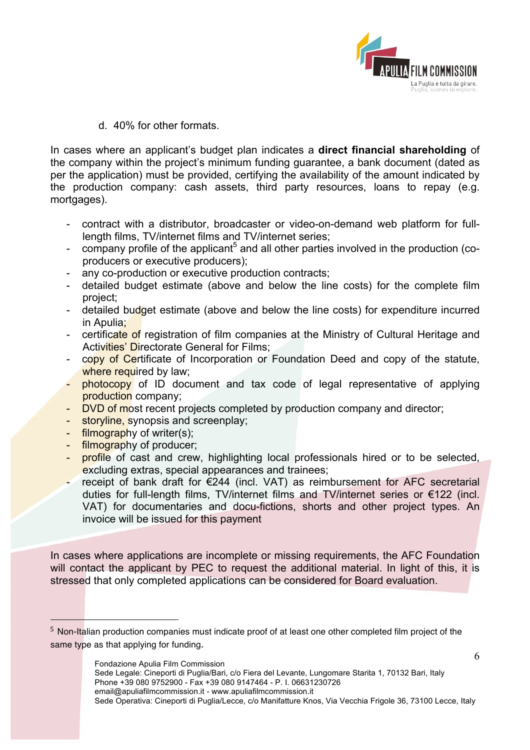

6

d. 40% for other formats.

In cases where an applicant's budget plan indicates a **direct financial shareholding** of the company within the project's minimum funding guarantee, a bank document (dated as per the application) must be provided, certifying the availability of the amount indicated by the production company: cash assets, third party resources, loans to repay (e.g. mortgages).

- contract with a distributor, broadcaster or video-on-demand web platform for fulllength films, TV/internet films and TV/internet series;
- company profile of the applicant<sup>5</sup> and all other parties involved in the production (coproducers or executive producers);
- any co-production or executive production contracts;
- detailed budget estimate (above and below the line costs) for the complete film project;
- detailed budget estimate (above and below the line costs) for expenditure incurred in Apulia;
- certificate of registration of film companies at the Ministry of Cultural Heritage and Activities' Directorate General for Films;
- copy of Certificate of Incorporation or Foundation Deed and copy of the statute, where required by law;
- photocopy of ID document and tax code of legal representative of applying production company;
- DVD of most recent projects completed by production company and director;
- storyline, synopsis and screenplay;
- filmography of writer(s);
- filmography of producer;

- profile of cast and crew, highlighting local professionals hired or to be selected, excluding extras, special appearances and trainees;
- receipt of bank draft for €244 (incl. VAT) as reimbursement for AFC secretarial duties for full-length films, TV/internet films and TV/internet series or €122 (incl. VAT) for documentaries and docu-fictions, shorts and other project types. An invoice will be issued for this payment

In cases where applications are incomplete or missing requirements, the AFC Foundation will contact the applicant by PEC to request the additional material. In light of this, it is stressed that only completed applications can be considered for Board evaluation.

<sup>5</sup> Non-Italian production companies must indicate proof of at least one other completed film project of the same type as that applying for funding.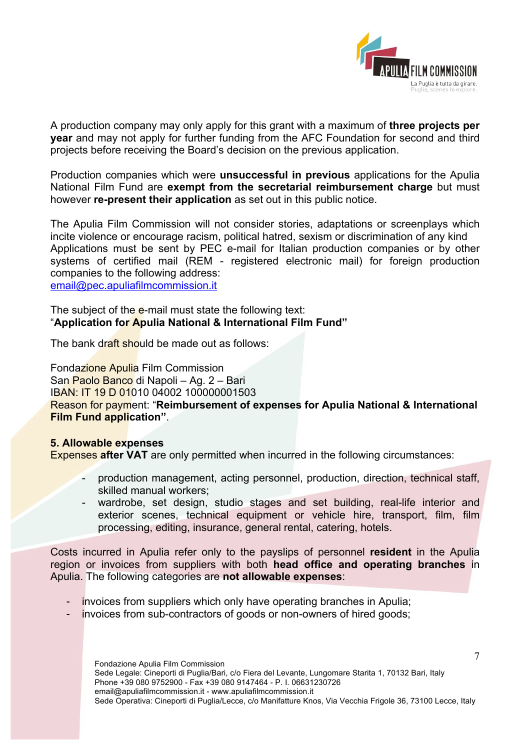

A production company may only apply for this grant with a maximum of **three projects per year** and may not apply for further funding from the AFC Foundation for second and third projects before receiving the Board's decision on the previous application.

Production companies which were **unsuccessful in previous** applications for the Apulia National Film Fund are **exempt from the secretarial reimbursement charge** but must however **re-present their application** as set out in this public notice.

The Apulia Film Commission will not consider stories, adaptations or screenplays which incite violence or encourage racism, political hatred, sexism or discrimination of any kind Applications must be sent by PEC e-mail for Italian production companies or by other systems of certified mail (REM - registered electronic mail) for foreign production companies to the following address:

email@pec.apuliafilmcommission.it

The subject of the e-mail must state the following text: "**Application for Apulia National & International Film Fund"**

The bank draft should be made out as follows:

Fondazione Apulia Film Commission San Paolo Banco di Napoli – Ag. 2 – Bari IBAN: IT 19 D 01010 04002 100000001503 Reason for payment: "**Reimbursement of expenses for Apulia National & International Film Fund application"**.

# **5. Allowable expenses**

Expenses **after VAT** are only permitted when incurred in the following circumstances:

- production management, acting personnel, production, direction, technical staff, skilled manual workers;
- wardrobe, set design, studio stages and set building, real-life interior and exterior scenes, technical equipment or vehicle hire, transport, film, film processing, editing, insurance, general rental, catering, hotels.

Costs incurred in Apulia refer only to the payslips of personnel **resident** in the Apulia region or invoices from suppliers with both **head office and operating branches** in Apulia. The following categories are **not allowable expenses**:

- invoices from suppliers which only have operating branches in Apulia;
- invoices from sub-contractors of goods or non-owners of hired goods;

Fondazione Apulia Film Commission Sede Legale: Cineporti di Puglia/Bari, c/o Fiera del Levante, Lungomare Starita 1, 70132 Bari, Italy Phone +39 080 9752900 - Fax +39 080 9147464 - P. I. 06631230726 email@apuliafilmcommission.it - www.apuliafilmcommission.it Sede Operativa: Cineporti di Puglia/Lecce, c/o Manifatture Knos, Via Vecchia Frigole 36, 73100 Lecce, Italy

7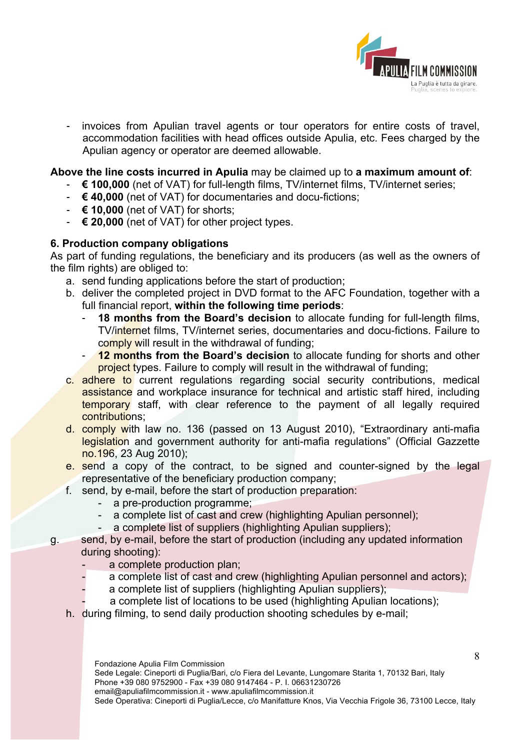

- invoices from Apulian travel agents or tour operators for entire costs of travel, accommodation facilities with head offices outside Apulia, etc. Fees charged by the Apulian agency or operator are deemed allowable.

**Above the line costs incurred in Apulia** may be claimed up to **a maximum amount of**:

- **€ 100,000** (net of VAT) for full-length films, TV/internet films, TV/internet series;
- **€ 40,000** (net of VAT) for documentaries and docu-fictions;
- **€ 10,000** (net of VAT) for shorts;
- **€ 20,000** (net of VAT) for other project types.

# **6. Production company obligations**

As part of funding regulations, the beneficiary and its producers (as well as the owners of the film rights) are obliged to:

- a. send funding applications before the start of production;
- b. deliver the completed project in DVD format to the AFC Foundation, together with a full financial report, **within the following time periods**:
	- 18 months from the Board's decision to allocate funding for full-length films, TV/internet films, TV/internet series, documentaries and docu-fictions. Failure to comply will result in the withdrawal of funding;
	- **12 months from the Board's decision** to allocate funding for shorts and other project types. Failure to comply will result in the withdrawal of funding;
- c. adhere to current regulations regarding social security contributions, medical assistance and workplace insurance for technical and artistic staff hired, including temporary staff, with clear reference to the payment of all legally required contributions;
- d. comply with law no. 136 (passed on 13 August 2010), "Extraordinary anti-mafia legislation and government authority for anti-mafia regulations" (Official Gazzette no.196, 23 Aug 2010);
- e. send a copy of the contract, to be signed and counter-signed by the legal representative of the beneficiary production company;
- f. send, by e-mail, before the start of production preparation:
	- a pre-production programme;
	- a complete list of cast and crew (highlighting Apulian personnel);
	- a complete list of suppliers (highlighting Apulian suppliers);
- g. send, by e-mail, before the start of production (including any updated information during shooting):
	- a complete production plan;
	- a complete list of cast and crew (highlighting Apulian personnel and actors);
	- a complete list of suppliers (highlighting Apulian suppliers);
		- a complete list of locations to be used (highlighting Apulian locations);
	- h. during filming, to send daily production shooting schedules by e-mail;

Fondazione Apulia Film Commission

Sede Legale: Cineporti di Puglia/Bari, c/o Fiera del Levante, Lungomare Starita 1, 70132 Bari, Italy Phone +39 080 9752900 - Fax +39 080 9147464 - P. I. 06631230726 email@apuliafilmcommission.it - www.apuliafilmcommission.it Sede Operativa: Cineporti di Puglia/Lecce, c/o Manifatture Knos, Via Vecchia Frigole 36, 73100 Lecce, Italy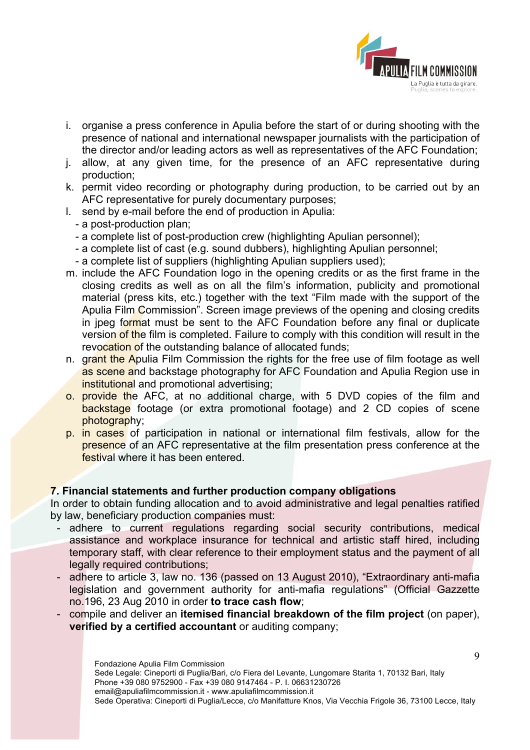

- i. organise a press conference in Apulia before the start of or during shooting with the presence of national and international newspaper journalists with the participation of the director and/or leading actors as well as representatives of the AFC Foundation;
- j. allow, at any given time, for the presence of an AFC representative during production;
- k. permit video recording or photography during production, to be carried out by an AFC representative for purely documentary purposes;
- l. send by e-mail before the end of production in Apulia:
	- a post-production plan;
	- a complete list of post-production crew (highlighting Apulian personnel);
	- a complete list of cast (e.g. sound dubbers), highlighting Apulian personnel;
	- a complete list of suppliers (highlighting Apulian suppliers used);
- m. include the AFC Foundation logo in the opening credits or as the first frame in the closing credits as well as on all the film's information, publicity and promotional material (press kits, etc.) together with the text "Film made with the support of the Apulia Film Commission". Screen image previews of the opening and closing credits in jpeg format must be sent to the AFC Foundation before any final or duplicate version of the film is completed. Failure to comply with this condition will result in the revocation of the outstanding balance of allocated funds;
- n. grant the Apulia Film Commission the rights for the free use of film footage as well as scene and backstage photography for AFC Foundation and Apulia Region use in institutional and promotional advertising;
- o. provide the AFC, at no additional charge, with 5 DVD copies of the film and backstage footage (or extra promotional footage) and 2 CD copies of scene photography;
- p. in cases of participation in national or international film festivals, allow for the presence of an AFC representative at the film presentation press conference at the festival where it has been entered.

#### **7. Financial statements and further production company obligations**

In order to obtain funding allocation and to avoid administrative and legal penalties ratified by law, beneficiary production companies must:

- adhere to current regulations regarding social security contributions, medical assistance and workplace insurance for technical and artistic staff hired, including temporary staff, with clear reference to their employment status and the payment of all legally required contributions;
- adhere to article 3, law no. 136 (passed on 13 August 2010), "Extraordinary anti-mafia legislation and government authority for anti-mafia regulations" (Official Gazzette no.196, 23 Aug 2010 in order **to trace cash flow**;
- compile and deliver an **itemised financial breakdown of the film project** (on paper), **verified by a certified accountant** or auditing company;

9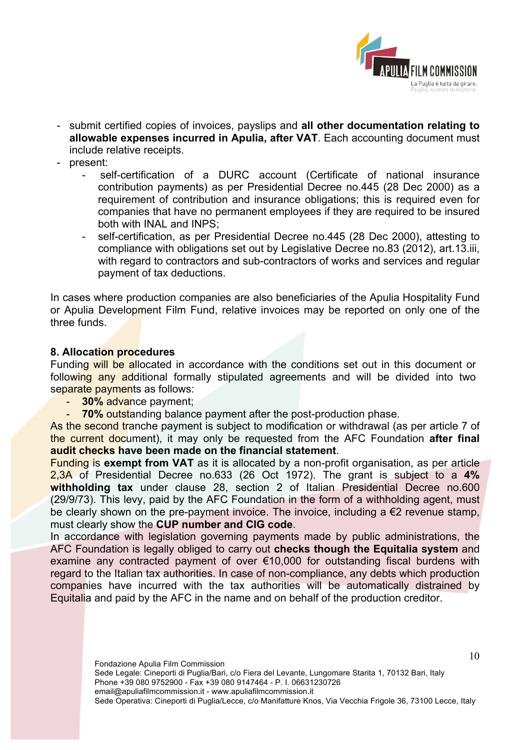

- submit certified copies of invoices, payslips and **all other documentation relating to allowable expenses incurred in Apulia, after VAT**. Each accounting document must include relative receipts.
- present:
	- self-certification of a DURC account (Certificate of national insurance contribution payments) as per Presidential Decree no.445 (28 Dec 2000) as a requirement of contribution and insurance obligations; this is required even for companies that have no permanent employees if they are required to be insured both with INAL and INPS;
	- self-certification, as per Presidential Decree no.445 (28 Dec 2000), attesting to compliance with obligations set out by Legislative Decree no.83 (2012), art.13.iii, with regard to contractors and sub-contractors of works and services and regular payment of tax deductions.

In cases where production companies are also beneficiaries of the Apulia Hospitality Fund or Apulia Development Film Fund, relative invoices may be reported on only one of the three funds.

### **8. Allocation procedures**

Funding will be allocated in accordance with the conditions set out in this document or following any additional formally stipulated agreements and will be divided into two separate payments as follows:

- **30%** advance payment;
- **70% outstanding balance payment after the post-production phase.**

As the second tranche payment is subject to modification or withdrawal (as per article 7 of the current document), it may only be requested from the AFC Foundation **after final audit checks have been made on the financial statement**.

Funding is **exempt from VAT** as it is allocated by a non-profit organisation, as per article 2,3A of Presidential Decree no.633 (26 Oct 1972). The grant is subject to a **4% withholding tax** under clause 28, section 2 of Italian Presidential Decree no.600 (29/9/73). This levy, paid by the AFC Foundation in the form of a withholding agent, must be clearly shown on the pre-payment invoice. The invoice, including a  $\epsilon$ 2 revenue stamp. must clearly show the **CUP number and CIG code**.

In accordance with legislation governing payments made by public administrations, the AFC Foundation is legally obliged to carry out **checks though the Equitalia system** and examine any contracted payment of over €10,000 for outstanding fiscal burdens with regard to the Italian tax authorities. In case of non-compliance, any debts which production companies have incurred with the tax authorities will be automatically distrained by Equitalia and paid by the AFC in the name and on behalf of the production creditor.